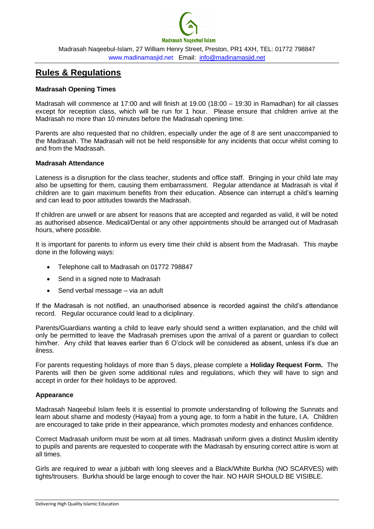

Madrasah Naqeebul-Islam, 27 William Henry Street, Preston, PR1 4XH, [TEL: 01772](tel:01772) 798847 [www.madinamasjid.net](http://www.madinamasjid.net/) Email: [info@madinamasjid.net](mailto:info@madinamasjid.net)

# **Rules & Regulations**

# **Madrasah Opening Times**

Madrasah will commence at 17:00 and will finish at 19.00 (18:00 – 19:30 in Ramadhan) for all classes except for reception class, which will be run for 1 hour. Please ensure that children arrive at the Madrasah no more than 10 minutes before the Madrasah opening time.

Parents are also requested that no children, especially under the age of 8 are sent unaccompanied to the Madrasah. The Madrasah will not be held responsible for any incidents that occur whilst coming to and from the Madrasah.

#### **Madrasah Attendance**

Lateness is a disruption for the class teacher, students and office staff. Bringing in your child late may also be upsetting for them, causing them embarrassment. Regular attendance at Madrasah is vital if children are to gain maximum benefits from their education. Absence can interrupt a child's learning and can lead to poor attitudes towards the Madrasah.

If children are unwell or are absent for reasons that are accepted and regarded as valid, it will be noted as authorised absence. Medical/Dental or any other appointments should be arranged out of Madrasah hours, where possible.

It is important for parents to inform us every time their child is absent from the Madrasah. This maybe done in the following ways:

- Telephone call to Madrasah on 01772 798847
- Send in a signed note to Madrasah
- Send verbal message via an adult

If the Madrasah is not notified, an unauthorised absence is recorded against the child's attendance record. Regular occurance could lead to a diciplinary.

Parents/Guardians wanting a child to leave early should send a written explanation, and the child will only be permitted to leave the Madrasah premises upon the arrival of a parent or guardian to collect him/her. Any child that leaves earlier than 6 O'clock will be considered as absent, unless it's due an ilness.

For parents requesting holidays of more than 5 days, please complete a **Holiday Request Form.** The Parents will then be given some additional rules and regulations, which they will have to sign and accept in order for their holidays to be approved.

## **Appearance**

Madrasah Naqeebul Islam feels it is essential to promote understanding of following the Sunnats and learn about shame and modesty (Hayaa) from a young age, to form a habit in the future, I.A. Children are encouraged to take pride in their appearance, which promotes modesty and enhances confidence.

Correct Madrasah uniform must be worn at all times. Madrasah uniform gives a distinct Muslim identity to pupils and parents are requested to cooperate with the Madrasah by ensuring correct attire is worn at all times.

Girls are required to wear a jubbah with long sleeves and a Black/White Burkha (NO SCARVES) with tights/trousers. Burkha should be large enough to cover the hair. NO HAIR SHOULD BE VISIBLE.